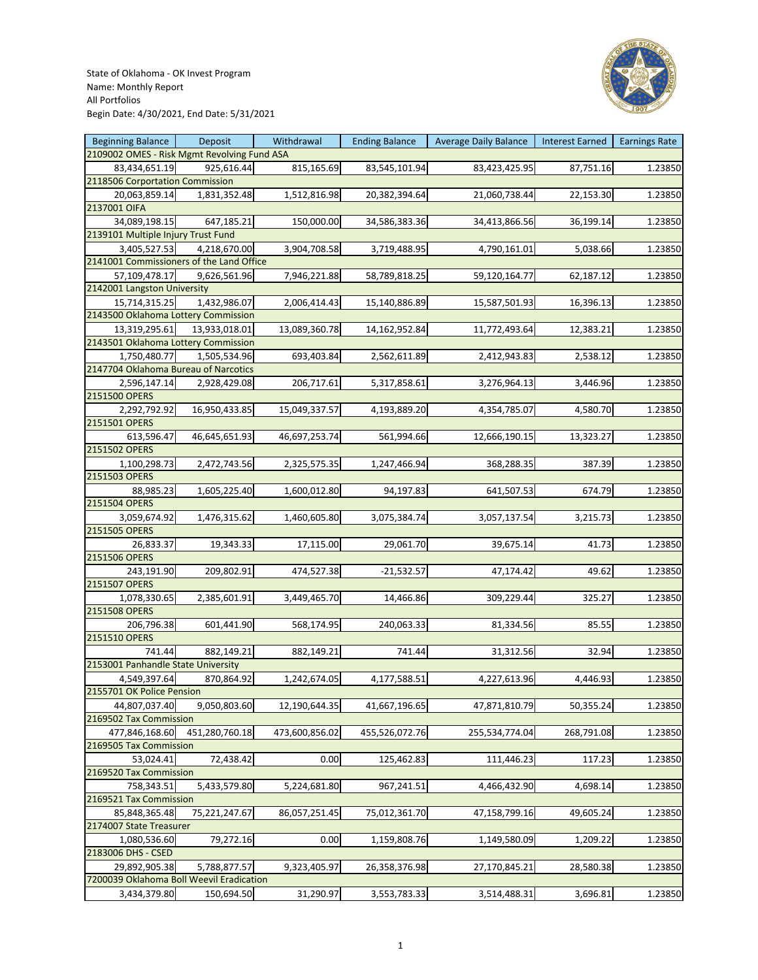

| <b>Beginning Balance</b>                    | Deposit        | Withdrawal     | <b>Ending Balance</b> | <b>Average Daily Balance</b> | Interest Earned | <b>Earnings Rate</b> |
|---------------------------------------------|----------------|----------------|-----------------------|------------------------------|-----------------|----------------------|
| 2109002 OMES - Risk Mgmt Revolving Fund ASA |                |                |                       |                              |                 |                      |
| 83,434,651.19                               | 925,616.44     | 815,165.69     | 83,545,101.94         | 83,423,425.95                | 87,751.16       | 1.23850              |
| 2118506 Corportation Commission             |                |                |                       |                              |                 |                      |
| 20,063,859.14                               | 1,831,352.48   | 1,512,816.98   | 20,382,394.64         | 21,060,738.44                | 22,153.30       | 1.23850              |
| 2137001 OIFA                                |                |                |                       |                              |                 |                      |
| 34,089,198.15                               | 647,185.21     | 150,000.00     | 34,586,383.36         | 34,413,866.56                | 36,199.14       | 1.23850              |
| 2139101 Multiple Injury Trust Fund          |                |                |                       |                              |                 |                      |
| 3,405,527.53                                | 4,218,670.00   | 3,904,708.58   | 3,719,488.95          | 4,790,161.01                 | 5,038.66        | 1.23850              |
| 2141001 Commissioners of the Land Office    |                |                |                       |                              |                 |                      |
| 57,109,478.17                               | 9,626,561.96   | 7,946,221.88   | 58,789,818.25         | 59,120,164.77                | 62,187.12       | 1.23850              |
| 2142001 Langston University                 |                |                |                       |                              |                 |                      |
| 15,714,315.25                               | 1,432,986.07   | 2,006,414.43   | 15,140,886.89         | 15,587,501.93                | 16,396.13       | 1.23850              |
| 2143500 Oklahoma Lottery Commission         |                |                |                       |                              |                 |                      |
|                                             |                |                |                       |                              |                 |                      |
| 13,319,295.61                               | 13,933,018.01  | 13,089,360.78  | 14,162,952.84         | 11,772,493.64                | 12,383.21       | 1.23850              |
| 2143501 Oklahoma Lottery Commission         |                |                |                       |                              |                 |                      |
| 1,750,480.77                                | 1,505,534.96   | 693,403.84     | 2,562,611.89          | 2,412,943.83                 | 2,538.12        | 1.23850              |
| 2147704 Oklahoma Bureau of Narcotics        |                |                |                       |                              |                 |                      |
| 2,596,147.14                                | 2,928,429.08   | 206,717.61     | 5,317,858.61          | 3,276,964.13                 | 3,446.96        | 1.23850              |
| 2151500 OPERS                               |                |                |                       |                              |                 |                      |
| 2,292,792.92                                | 16,950,433.85  | 15,049,337.57  | 4,193,889.20          | 4,354,785.07                 | 4,580.70        | 1.23850              |
| 2151501 OPERS                               |                |                |                       |                              |                 |                      |
| 613,596.47                                  | 46,645,651.93  | 46,697,253.74  | 561,994.66            | 12,666,190.15                | 13,323.27       | 1.23850              |
| 2151502 OPERS                               |                |                |                       |                              |                 |                      |
| 1,100,298.73                                | 2,472,743.56   | 2,325,575.35   | 1,247,466.94          | 368,288.35                   | 387.39          | 1.23850              |
| 2151503 OPERS                               |                |                |                       |                              |                 |                      |
| 88,985.23                                   | 1,605,225.40   | 1,600,012.80   | 94,197.83             | 641,507.53                   | 674.79          | 1.23850              |
| 2151504 OPERS                               |                |                |                       |                              |                 |                      |
| 3,059,674.92                                | 1,476,315.62   | 1,460,605.80   | 3,075,384.74          | 3,057,137.54                 | 3,215.73        | 1.23850              |
| 2151505 OPERS                               |                |                |                       |                              |                 |                      |
| 26,833.37                                   | 19,343.33      | 17,115.00      | 29,061.70             | 39,675.14                    | 41.73           | 1.23850              |
| 2151506 OPERS                               |                |                |                       |                              |                 |                      |
| 243,191.90                                  | 209,802.91     | 474,527.38     | $-21,532.57$          | 47,174.42                    | 49.62           | 1.23850              |
| 2151507 OPERS                               |                |                |                       |                              |                 |                      |
| 1,078,330.65                                | 2,385,601.91   | 3,449,465.70   | 14,466.86             | 309,229.44                   | 325.27          | 1.23850              |
| 2151508 OPERS                               |                |                |                       |                              |                 |                      |
| 206,796.38                                  | 601,441.90     | 568,174.95     | 240,063.33            | 81,334.56                    | 85.55           | 1.23850              |
| 2151510 OPERS                               |                |                |                       |                              |                 |                      |
| 741.44                                      | 882,149.21     | 882,149.21     | 741.44                |                              | 32.94           |                      |
|                                             |                |                |                       | 31,312.56                    |                 | 1.23850              |
| 2153001 Panhandle State University          |                |                |                       |                              |                 |                      |
| 4,549,397.64                                | 870,864.92     | 1,242,674.05   | 4,177,588.51          | 4,227,613.96                 | 4,446.93        | 1.23850              |
| 2155701 OK Police Pension                   |                |                |                       |                              |                 |                      |
| 44,807,037.40                               | 9,050,803.60   | 12,190,644.35  | 41,667,196.65         | 47,871,810.79                | 50,355.24       | 1.23850              |
| 2169502 Tax Commission                      |                |                |                       |                              |                 |                      |
| 477,846,168.60                              | 451,280,760.18 | 473,600,856.02 | 455,526,072.76        | 255,534,774.04               | 268,791.08      | 1.23850              |
| 2169505 Tax Commission                      |                |                |                       |                              |                 |                      |
| 53,024.41                                   | 72,438.42      | 0.00           | 125,462.83            | 111,446.23                   | 117.23          | 1.23850              |
| 2169520 Tax Commission                      |                |                |                       |                              |                 |                      |
| 758,343.51                                  | 5,433,579.80   | 5,224,681.80   | 967,241.51            | 4,466,432.90                 | 4,698.14        | 1.23850              |
| 2169521 Tax Commission                      |                |                |                       |                              |                 |                      |
| 85,848,365.48                               | 75,221,247.67  | 86,057,251.45  | 75,012,361.70         | 47,158,799.16                | 49,605.24       | 1.23850              |
| 2174007 State Treasurer                     |                |                |                       |                              |                 |                      |
| 1,080,536.60                                | 79,272.16      | 0.00           | 1,159,808.76          | 1,149,580.09                 | 1,209.22        | 1.23850              |
| 2183006 DHS - CSED                          |                |                |                       |                              |                 |                      |
| 29,892,905.38                               | 5,788,877.57   | 9,323,405.97   | 26,358,376.98         | 27,170,845.21                | 28,580.38       | 1.23850              |
| 7200039 Oklahoma Boll Weevil Eradication    |                |                |                       |                              |                 |                      |
| 3,434,379.80                                | 150,694.50     | 31,290.97      | 3,553,783.33          | 3,514,488.31                 | 3,696.81        | 1.23850              |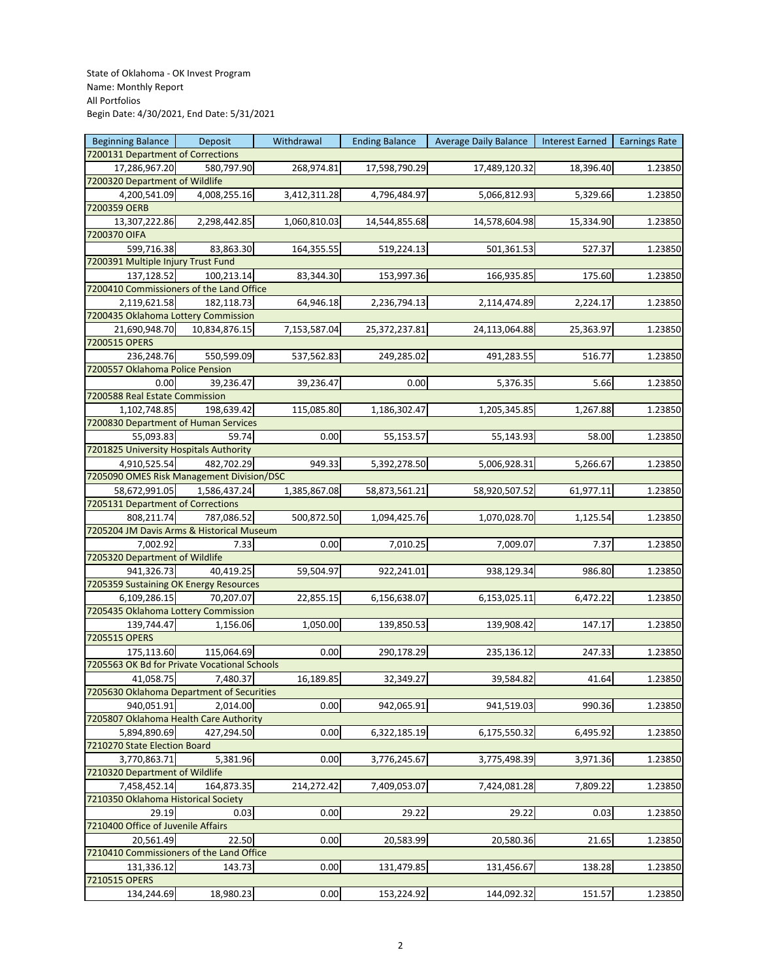| <b>Beginning Balance</b>                     | Deposit       | Withdrawal   | <b>Ending Balance</b> | <b>Average Daily Balance</b> | <b>Interest Earned</b> | <b>Earnings Rate</b> |
|----------------------------------------------|---------------|--------------|-----------------------|------------------------------|------------------------|----------------------|
| 7200131 Department of Corrections            |               |              |                       |                              |                        |                      |
| 17,286,967.20                                | 580,797.90    | 268,974.81   | 17,598,790.29         | 17,489,120.32                | 18,396.40              | 1.23850              |
| 7200320 Department of Wildlife               |               |              |                       |                              |                        |                      |
| 4,200,541.09                                 | 4,008,255.16  | 3,412,311.28 | 4,796,484.97          | 5,066,812.93                 | 5,329.66               | 1.23850              |
| 7200359 OERB                                 |               |              |                       |                              |                        |                      |
| 13,307,222.86                                | 2,298,442.85  | 1,060,810.03 | 14,544,855.68         | 14,578,604.98                | 15,334.90              | 1.23850              |
| 7200370 OIFA                                 |               |              |                       |                              |                        |                      |
| 599,716.38                                   | 83,863.30     | 164,355.55   | 519,224.13            | 501,361.53                   | 527.37                 | 1.23850              |
| 7200391 Multiple Injury Trust Fund           |               |              |                       |                              |                        |                      |
| 137,128.52                                   | 100,213.14    | 83,344.30    | 153,997.36            | 166,935.85                   | 175.60                 | 1.23850              |
| 7200410 Commissioners of the Land Office     |               |              |                       |                              |                        |                      |
| 2,119,621.58                                 |               | 64,946.18    |                       |                              |                        |                      |
|                                              | 182,118.73    |              | 2,236,794.13          | 2,114,474.89                 | 2,224.17               | 1.23850              |
| 7200435 Oklahoma Lottery Commission          |               |              |                       |                              |                        |                      |
| 21,690,948.70                                | 10,834,876.15 | 7,153,587.04 | 25,372,237.81         | 24,113,064.88                | 25,363.97              | 1.23850              |
| 7200515 OPERS                                |               |              |                       |                              |                        |                      |
| 236,248.76                                   | 550,599.09    | 537,562.83   | 249,285.02            | 491,283.55                   | 516.77                 | 1.23850              |
| 7200557 Oklahoma Police Pension              |               |              |                       |                              |                        |                      |
| 0.00                                         | 39,236.47     | 39,236.47    | 0.00                  | 5,376.35                     | 5.66                   | 1.23850              |
| 7200588 Real Estate Commission               |               |              |                       |                              |                        |                      |
| 1,102,748.85                                 | 198,639.42    | 115,085.80   | 1,186,302.47          | 1,205,345.85                 | 1,267.88               | 1.23850              |
| 7200830 Department of Human Services         |               |              |                       |                              |                        |                      |
| 55,093.83                                    | 59.74         | 0.00         | 55,153.57             | 55,143.93                    | 58.00                  | 1.23850              |
| 7201825 University Hospitals Authority       |               |              |                       |                              |                        |                      |
| 4,910,525.54                                 | 482,702.29    | 949.33       | 5,392,278.50          | 5,006,928.31                 | 5,266.67               | 1.23850              |
| 7205090 OMES Risk Management Division/DSC    |               |              |                       |                              |                        |                      |
| 58,672,991.05                                | 1,586,437.24  | 1,385,867.08 | 58,873,561.21         | 58,920,507.52                | 61,977.11              | 1.23850              |
| 7205131 Department of Corrections            |               |              |                       |                              |                        |                      |
| 808,211.74                                   | 787,086.52    | 500,872.50   | 1,094,425.76          | 1,070,028.70                 | 1,125.54               | 1.23850              |
| 7205204 JM Davis Arms & Historical Museum    |               |              |                       |                              |                        |                      |
| 7,002.92                                     | 7.33          | 0.00         | 7,010.25              | 7,009.07                     | 7.37                   | 1.23850              |
| 7205320 Department of Wildlife               |               |              |                       |                              |                        |                      |
| 941,326.73                                   | 40,419.25     | 59,504.97    | 922,241.01            | 938,129.34                   | 986.80                 | 1.23850              |
| 7205359 Sustaining OK Energy Resources       |               |              |                       |                              |                        |                      |
| 6,109,286.15                                 | 70,207.07     | 22,855.15    | 6,156,638.07          | 6,153,025.11                 | 6,472.22               | 1.23850              |
| 7205435 Oklahoma Lottery Commission          |               |              |                       |                              |                        |                      |
| 139,744.47                                   |               |              |                       |                              | 147.17                 |                      |
| 7205515 OPERS                                | 1,156.06      | 1,050.00     | 139,850.53            | 139,908.42                   |                        | 1.23850              |
|                                              |               |              |                       |                              |                        |                      |
| 175,113.60                                   | 115,064.69    | 0.00         | 290,178.29            | 235,136.12                   | 247.33                 | 1.23850              |
| 7205563 OK Bd for Private Vocational Schools |               |              |                       |                              |                        |                      |
| 41,058.75                                    | 7,480.37      | 16,189.85    | 32,349.27             | 39,584.82                    | 41.64                  | 1.23850              |
| 7205630 Oklahoma Department of Securities    |               |              |                       |                              |                        |                      |
| 940,051.91                                   | 2,014.00      | 0.00         | 942,065.91            | 941,519.03                   | 990.36                 | 1.23850              |
| 7205807 Oklahoma Health Care Authority       |               |              |                       |                              |                        |                      |
| 5,894,890.69                                 | 427,294.50    | 0.00         | 6,322,185.19          | 6,175,550.32                 | 6,495.92               | 1.23850              |
| 7210270 State Election Board                 |               |              |                       |                              |                        |                      |
| 3,770,863.71                                 | 5,381.96      | 0.00         | 3,776,245.67          | 3,775,498.39                 | 3,971.36               | 1.23850              |
| 7210320 Department of Wildlife               |               |              |                       |                              |                        |                      |
| 7,458,452.14                                 | 164,873.35    | 214,272.42   | 7,409,053.07          | 7,424,081.28                 | 7,809.22               | 1.23850              |
| 7210350 Oklahoma Historical Society          |               |              |                       |                              |                        |                      |
| 29.19                                        | 0.03          | 0.00         | 29.22                 | 29.22                        | 0.03                   | 1.23850              |
| 7210400 Office of Juvenile Affairs           |               |              |                       |                              |                        |                      |
| 20,561.49                                    | 22.50         | 0.00         | 20,583.99             | 20,580.36                    | 21.65                  | 1.23850              |
| 7210410 Commissioners of the Land Office     |               |              |                       |                              |                        |                      |
| 131,336.12                                   | 143.73        | 0.00         | 131,479.85            | 131,456.67                   | 138.28                 | 1.23850              |
| 7210515 OPERS                                |               |              |                       |                              |                        |                      |
| 134,244.69                                   | 18,980.23     | 0.00         | 153,224.92            | 144,092.32                   | 151.57                 | 1.23850              |
|                                              |               |              |                       |                              |                        |                      |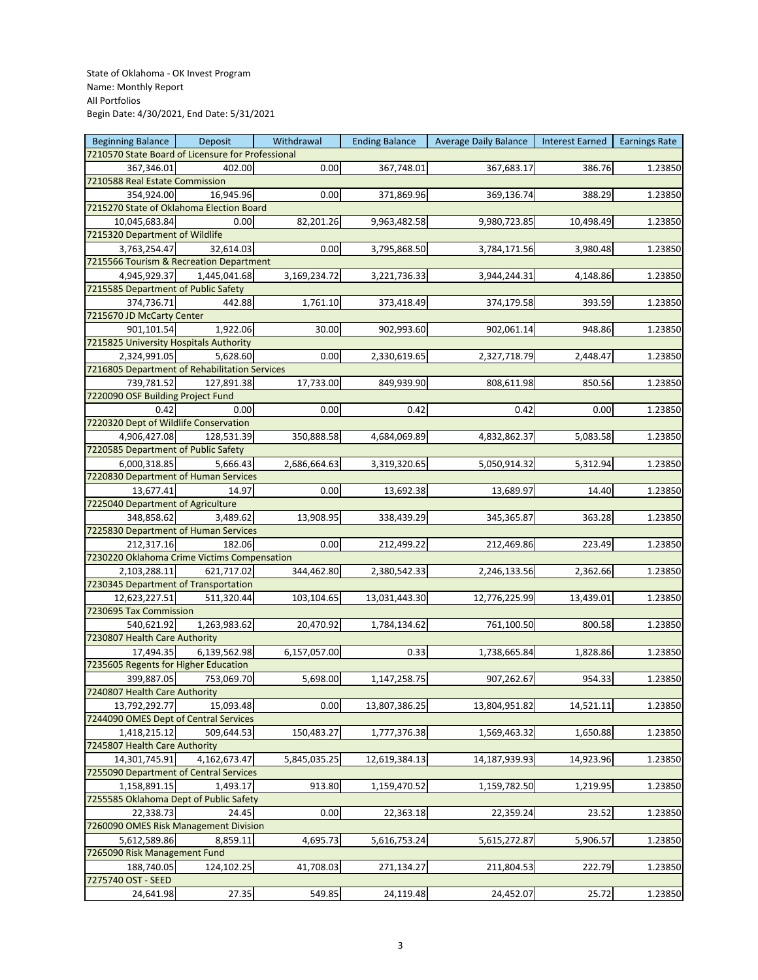| <b>Beginning Balance</b>                          | Deposit      | Withdrawal   | <b>Ending Balance</b> | Average Daily Balance | Interest Earned | <b>Earnings Rate</b> |
|---------------------------------------------------|--------------|--------------|-----------------------|-----------------------|-----------------|----------------------|
| 7210570 State Board of Licensure for Professional |              |              |                       |                       |                 |                      |
| 367,346.01                                        | 402.00       | 0.00         | 367,748.01            | 367,683.17            | 386.76          | 1.23850              |
| 7210588 Real Estate Commission                    |              |              |                       |                       |                 |                      |
| 354,924.00                                        | 16,945.96    | 0.00         | 371,869.96            | 369,136.74            | 388.29          | 1.23850              |
| 7215270 State of Oklahoma Election Board          |              |              |                       |                       |                 |                      |
| 10,045,683.84                                     | 0.00         | 82,201.26    | 9,963,482.58          | 9,980,723.85          | 10,498.49       | 1.23850              |
| 7215320 Department of Wildlife                    |              |              |                       |                       |                 |                      |
| 3,763,254.47                                      | 32,614.03    | 0.00         | 3,795,868.50          | 3,784,171.56          | 3,980.48        |                      |
| 7215566 Tourism & Recreation Department           |              |              |                       |                       |                 | 1.23850              |
|                                                   |              |              |                       |                       |                 |                      |
| 4,945,929.37                                      | 1,445,041.68 | 3,169,234.72 | 3,221,736.33          | 3,944,244.31          | 4,148.86        | 1.23850              |
| 7215585 Department of Public Safety               |              |              |                       |                       |                 |                      |
| 374,736.71                                        | 442.88       | 1,761.10     | 373,418.49            | 374,179.58            | 393.59          | 1.23850              |
| 7215670 JD McCarty Center                         |              |              |                       |                       |                 |                      |
| 901,101.54                                        | 1,922.06     | 30.00        | 902,993.60            | 902,061.14            | 948.86          | 1.23850              |
| 7215825 University Hospitals Authority            |              |              |                       |                       |                 |                      |
| 2,324,991.05                                      | 5,628.60     | 0.00         | 2,330,619.65          | 2,327,718.79          | 2,448.47        | 1.23850              |
| 7216805 Department of Rehabilitation Services     |              |              |                       |                       |                 |                      |
| 739,781.52                                        | 127,891.38   | 17,733.00    | 849,939.90            | 808,611.98            | 850.56          | 1.23850              |
| 7220090 OSF Building Project Fund                 |              |              |                       |                       |                 |                      |
| 0.42                                              | 0.00         | 0.00         | 0.42                  | 0.42                  | 0.00            | 1.23850              |
| 7220320 Dept of Wildlife Conservation             |              |              |                       |                       |                 |                      |
| 4,906,427.08                                      | 128,531.39   | 350,888.58   | 4,684,069.89          | 4,832,862.37          | 5,083.58        | 1.23850              |
| 7220585 Department of Public Safety               |              |              |                       |                       |                 |                      |
| 6,000,318.85                                      | 5,666.43     | 2,686,664.63 | 3,319,320.65          | 5,050,914.32          | 5,312.94        | 1.23850              |
| 7220830 Department of Human Services              |              |              |                       |                       |                 |                      |
| 13,677.41                                         | 14.97        | 0.00         | 13,692.38             | 13,689.97             | 14.40           | 1.23850              |
| 7225040 Department of Agriculture                 |              |              |                       |                       |                 |                      |
| 348,858.62                                        | 3,489.62     | 13,908.95    | 338,439.29            | 345,365.87            | 363.28          | 1.23850              |
| 7225830 Department of Human Services              |              |              |                       |                       |                 |                      |
|                                                   |              |              |                       |                       |                 |                      |
| 212,317.16                                        | 182.06       | 0.00         | 212,499.22            | 212,469.86            | 223.49          | 1.23850              |
| 7230220 Oklahoma Crime Victims Compensation       |              |              |                       |                       |                 |                      |
| 2,103,288.11                                      | 621,717.02   | 344,462.80   | 2,380,542.33          | 2,246,133.56          | 2,362.66        | 1.23850              |
| 7230345 Department of Transportation              |              |              |                       |                       |                 |                      |
| 12,623,227.51                                     | 511,320.44   | 103,104.65   | 13,031,443.30         | 12,776,225.99         | 13,439.01       | 1.23850              |
| 7230695 Tax Commission                            |              |              |                       |                       |                 |                      |
| 540,621.92                                        | 1,263,983.62 | 20,470.92    | 1,784,134.62          | 761,100.50            | 800.58          | 1.23850              |
| 7230807 Health Care Authority                     |              |              |                       |                       |                 |                      |
| 17,494.35                                         | 6,139,562.98 | 6,157,057.00 | 0.33                  | 1,738,665.84          | 1,828.86        | 1.23850              |
| 7235605 Regents for Higher Education              |              |              |                       |                       |                 |                      |
| 399,887.05                                        | 753,069.70   | 5,698.00     | 1,147,258.75          | 907,262.67            | 954.33          | 1.23850              |
| 7240807 Health Care Authority                     |              |              |                       |                       |                 |                      |
| 13,792,292.77                                     | 15,093.48    | 0.00         | 13,807,386.25         | 13,804,951.82         | 14,521.11       | 1.23850              |
| 7244090 OMES Dept of Central Services             |              |              |                       |                       |                 |                      |
| 1,418,215.12                                      | 509,644.53   | 150,483.27   | 1,777,376.38          | 1,569,463.32          | 1,650.88        | 1.23850              |
| 7245807 Health Care Authority                     |              |              |                       |                       |                 |                      |
| 14,301,745.91                                     | 4,162,673.47 | 5,845,035.25 | 12,619,384.13         | 14,187,939.93         | 14,923.96       | 1.23850              |
| 7255090 Department of Central Services            |              |              |                       |                       |                 |                      |
| 1,158,891.15                                      | 1,493.17     | 913.80       | 1,159,470.52          | 1,159,782.50          | 1,219.95        | 1.23850              |
| 7255585 Oklahoma Dept of Public Safety            |              |              |                       |                       |                 |                      |
|                                                   |              |              |                       |                       |                 |                      |
| 22,338.73                                         | 24.45        | 0.00         | 22,363.18             | 22,359.24             | 23.52           | 1.23850              |
| 7260090 OMES Risk Management Division             |              |              |                       |                       |                 |                      |
| 5,612,589.86                                      | 8,859.11     | 4,695.73     | 5,616,753.24          | 5,615,272.87          | 5,906.57        | 1.23850              |
| 7265090 Risk Management Fund                      |              |              |                       |                       |                 |                      |
| 188,740.05                                        | 124,102.25   | 41,708.03    | 271,134.27            | 211,804.53            | 222.79          | 1.23850              |
| 7275740 OST - SEED                                |              |              |                       |                       |                 |                      |
| 24,641.98                                         | 27.35        | 549.85       | 24,119.48             | 24,452.07             | 25.72           | 1.23850              |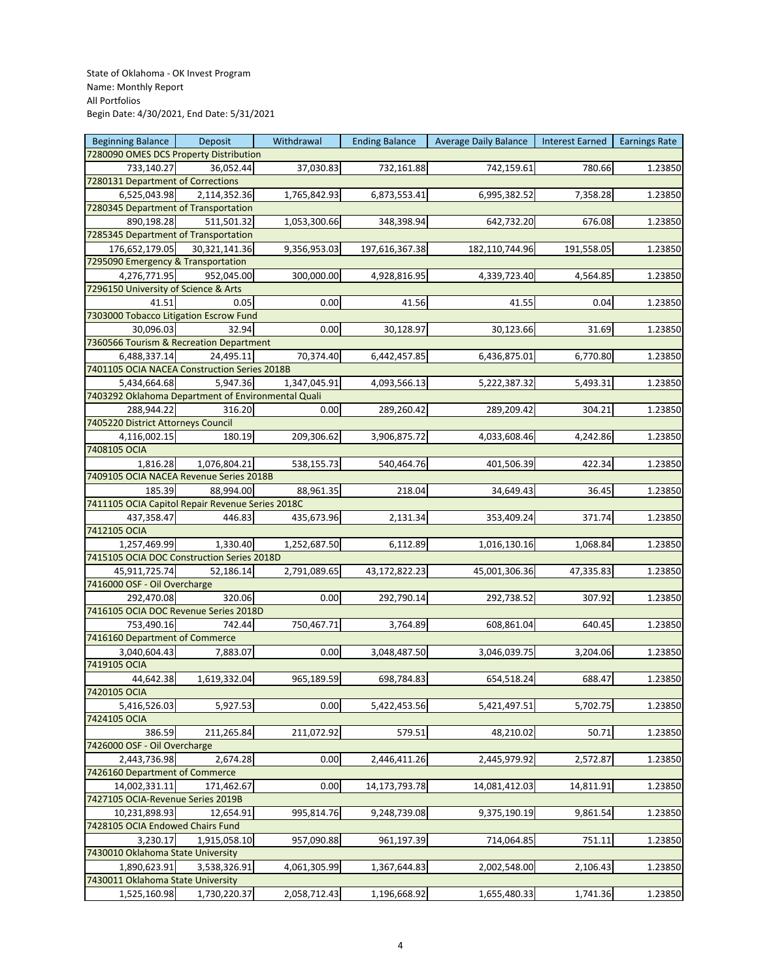| <b>Beginning Balance</b>                           | Deposit       | Withdrawal   | <b>Ending Balance</b> | <b>Average Daily Balance</b> | <b>Interest Earned</b> | <b>Earnings Rate</b> |
|----------------------------------------------------|---------------|--------------|-----------------------|------------------------------|------------------------|----------------------|
| 7280090 OMES DCS Property Distribution             |               |              |                       |                              |                        |                      |
| 733,140.27                                         | 36,052.44     | 37,030.83    | 732,161.88            | 742,159.61                   | 780.66                 | 1.23850              |
| 7280131 Department of Corrections                  |               |              |                       |                              |                        |                      |
| 6,525,043.98                                       | 2,114,352.36  | 1,765,842.93 | 6,873,553.41          | 6,995,382.52                 | 7,358.28               | 1.23850              |
| 7280345 Department of Transportation               |               |              |                       |                              |                        |                      |
| 890,198.28                                         | 511,501.32    | 1,053,300.66 | 348,398.94            | 642,732.20                   | 676.08                 | 1.23850              |
| 7285345 Department of Transportation               |               |              |                       |                              |                        |                      |
| 176,652,179.05                                     | 30,321,141.36 | 9,356,953.03 | 197,616,367.38        | 182,110,744.96               | 191,558.05             | 1.23850              |
| 7295090 Emergency & Transportation                 |               |              |                       |                              |                        |                      |
| 4,276,771.95                                       | 952,045.00    | 300,000.00   | 4,928,816.95          | 4,339,723.40                 | 4,564.85               | 1.23850              |
| 7296150 University of Science & Arts               |               |              |                       |                              |                        |                      |
| 41.51                                              | 0.05          | 0.00         | 41.56                 | 41.55                        | 0.04                   | 1.23850              |
| 7303000 Tobacco Litigation Escrow Fund             |               |              |                       |                              |                        |                      |
| 30,096.03                                          | 32.94         | 0.00         | 30,128.97             | 30,123.66                    | 31.69                  | 1.23850              |
| 7360566 Tourism & Recreation Department            |               |              |                       |                              |                        |                      |
| 6,488,337.14                                       | 24,495.11     | 70,374.40    | 6,442,457.85          | 6,436,875.01                 | 6,770.80               | 1.23850              |
| 7401105 OCIA NACEA Construction Series 2018B       |               |              |                       |                              |                        |                      |
| 5,434,664.68                                       | 5,947.36      | 1,347,045.91 | 4,093,566.13          | 5,222,387.32                 | 5,493.31               | 1.23850              |
| 7403292 Oklahoma Department of Environmental Quali |               |              |                       |                              |                        |                      |
| 288,944.22                                         | 316.20        | 0.00         | 289,260.42            | 289,209.42                   | 304.21                 | 1.23850              |
| 7405220 District Attorneys Council                 |               |              |                       |                              |                        |                      |
| 4,116,002.15                                       | 180.19        | 209,306.62   | 3,906,875.72          | 4,033,608.46                 | 4,242.86               | 1.23850              |
| 7408105 OCIA                                       |               |              |                       |                              |                        |                      |
| 1,816.28                                           | 1,076,804.21  |              | 540,464.76            | 401,506.39                   | 422.34                 |                      |
| 7409105 OCIA NACEA Revenue Series 2018B            |               | 538,155.73   |                       |                              |                        | 1.23850              |
|                                                    |               |              |                       |                              |                        |                      |
| 185.39                                             | 88,994.00     | 88,961.35    | 218.04                | 34,649.43                    | 36.45                  | 1.23850              |
| 7411105 OCIA Capitol Repair Revenue Series 2018C   |               |              |                       |                              |                        |                      |
| 437,358.47                                         | 446.83        | 435,673.96   | 2,131.34              | 353,409.24                   | 371.74                 | 1.23850              |
| 7412105 OCIA                                       |               |              |                       |                              |                        |                      |
| 1,257,469.99                                       | 1,330.40      | 1,252,687.50 | 6,112.89              | 1,016,130.16                 | 1,068.84               | 1.23850              |
| 7415105 OCIA DOC Construction Series 2018D         |               |              |                       |                              |                        |                      |
| 45,911,725.74                                      | 52,186.14     | 2,791,089.65 | 43,172,822.23         | 45,001,306.36                | 47,335.83              | 1.23850              |
| 7416000 OSF - Oil Overcharge                       |               |              |                       |                              |                        |                      |
| 292,470.08                                         | 320.06        | 0.00         | 292,790.14            | 292,738.52                   | 307.92                 | 1.23850              |
| 7416105 OCIA DOC Revenue Series 2018D              |               |              |                       |                              |                        |                      |
| 753,490.16                                         | 742.44        | 750,467.71   | 3,764.89              | 608,861.04                   | 640.45                 | 1.23850              |
| 7416160 Department of Commerce                     |               |              |                       |                              |                        |                      |
| 3,040,604.43                                       | 7,883.07      | 0.00         | 3,048,487.50          | 3,046,039.75                 | 3,204.06               | 1.23850              |
| 7419105 OCIA                                       |               |              |                       |                              |                        |                      |
| 44,642.38                                          | 1,619,332.04  | 965,189.59   | 698,784.83            | 654,518.24                   | 688.47                 | 1.23850              |
| 7420105 OCIA                                       |               |              |                       |                              |                        |                      |
| 5,416,526.03                                       | 5,927.53      | 0.00         | 5,422,453.56          | 5,421,497.51                 | 5,702.75               | 1.23850              |
| 7424105 OCIA                                       |               |              |                       |                              |                        |                      |
| 386.59                                             | 211,265.84    | 211,072.92   | 579.51                | 48,210.02                    | 50.71                  | 1.23850              |
| 7426000 OSF - Oil Overcharge                       |               |              |                       |                              |                        |                      |
| 2,443,736.98                                       | 2,674.28      | 0.00         | 2,446,411.26          | 2,445,979.92                 | 2,572.87               | 1.23850              |
| 7426160 Department of Commerce                     |               |              |                       |                              |                        |                      |
| 14,002,331.11                                      | 171,462.67    | 0.00         | 14,173,793.78         | 14,081,412.03                | 14,811.91              | 1.23850              |
| 7427105 OCIA-Revenue Series 2019B                  |               |              |                       |                              |                        |                      |
| 10,231,898.93                                      | 12,654.91     | 995,814.76   | 9,248,739.08          | 9,375,190.19                 | 9,861.54               | 1.23850              |
| 7428105 OCIA Endowed Chairs Fund                   |               |              |                       |                              |                        |                      |
| 3,230.17                                           | 1,915,058.10  | 957,090.88   | 961,197.39            | 714,064.85                   | 751.11                 | 1.23850              |
| 7430010 Oklahoma State University                  |               |              |                       |                              |                        |                      |
| 1,890,623.91                                       | 3,538,326.91  | 4,061,305.99 | 1,367,644.83          | 2,002,548.00                 | 2,106.43               | 1.23850              |
| 7430011 Oklahoma State University                  |               |              |                       |                              |                        |                      |
| 1,525,160.98                                       | 1,730,220.37  | 2,058,712.43 | 1,196,668.92          | 1,655,480.33                 | 1,741.36               | 1.23850              |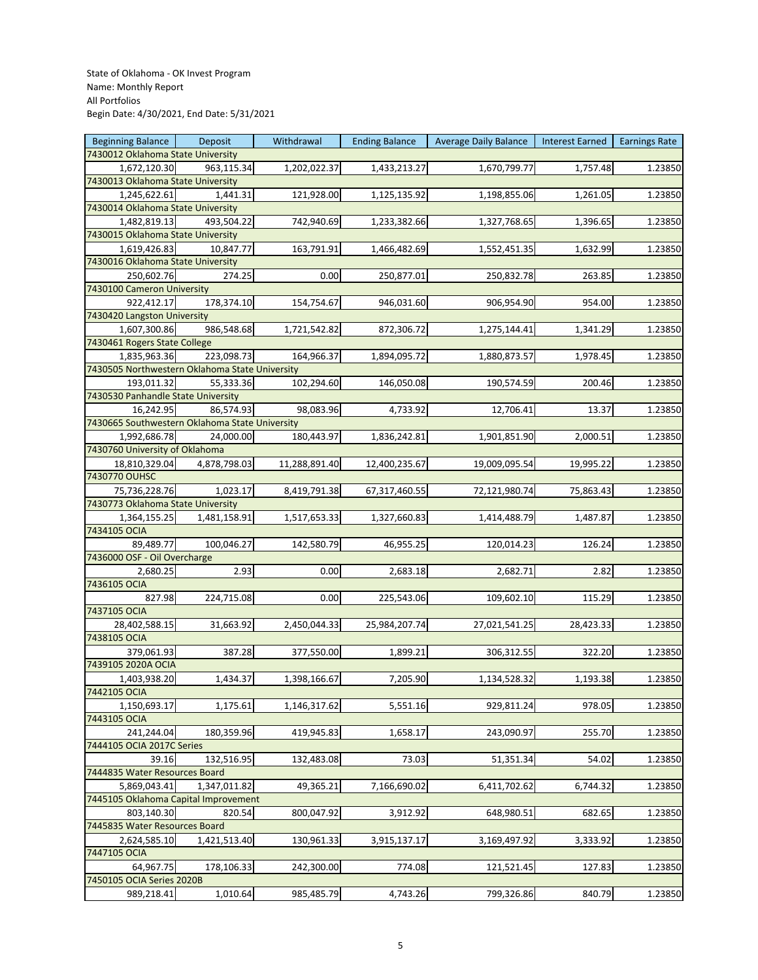| <b>Beginning Balance</b>                       | Deposit      | Withdrawal    | <b>Ending Balance</b> | <b>Average Daily Balance</b> | Interest Earned | <b>Earnings Rate</b> |
|------------------------------------------------|--------------|---------------|-----------------------|------------------------------|-----------------|----------------------|
| 7430012 Oklahoma State University              |              |               |                       |                              |                 |                      |
| 1,672,120.30                                   | 963,115.34   | 1,202,022.37  | 1,433,213.27          | 1,670,799.77                 | 1,757.48        | 1.23850              |
| 7430013 Oklahoma State University              |              |               |                       |                              |                 |                      |
| 1,245,622.61                                   | 1,441.31     | 121,928.00    | 1,125,135.92          | 1,198,855.06                 | 1,261.05        | 1.23850              |
| 7430014 Oklahoma State University              |              |               |                       |                              |                 |                      |
| 1,482,819.13                                   | 493,504.22   | 742,940.69    | 1,233,382.66          | 1,327,768.65                 | 1,396.65        | 1.23850              |
| 7430015 Oklahoma State University              |              |               |                       |                              |                 |                      |
|                                                |              |               |                       |                              |                 |                      |
| 1,619,426.83                                   | 10,847.77    | 163,791.91    | 1,466,482.69          | 1,552,451.35                 | 1,632.99        | 1.23850              |
| 7430016 Oklahoma State University              |              |               |                       |                              |                 |                      |
| 250,602.76                                     | 274.25       | 0.00          | 250,877.01            | 250,832.78                   | 263.85          | 1.23850              |
| 7430100 Cameron University                     |              |               |                       |                              |                 |                      |
| 922,412.17                                     | 178,374.10   | 154,754.67    | 946,031.60            | 906,954.90                   | 954.00          | 1.23850              |
| 7430420 Langston University                    |              |               |                       |                              |                 |                      |
| 1,607,300.86                                   | 986,548.68   | 1,721,542.82  | 872,306.72            | 1,275,144.41                 | 1,341.29        | 1.23850              |
| 7430461 Rogers State College                   |              |               |                       |                              |                 |                      |
| 1,835,963.36                                   | 223,098.73   | 164,966.37    | 1,894,095.72          | 1,880,873.57                 | 1,978.45        | 1.23850              |
| 7430505 Northwestern Oklahoma State University |              |               |                       |                              |                 |                      |
| 193,011.32                                     | 55,333.36    | 102,294.60    | 146,050.08            | 190,574.59                   | 200.46          | 1.23850              |
| 7430530 Panhandle State University             |              |               |                       |                              |                 |                      |
| 16,242.95                                      | 86,574.93    | 98,083.96     | 4,733.92              | 12,706.41                    | 13.37           | 1.23850              |
| 7430665 Southwestern Oklahoma State University |              |               |                       |                              |                 |                      |
| 1,992,686.78                                   | 24,000.00    | 180,443.97    | 1,836,242.81          | 1,901,851.90                 | 2,000.51        | 1.23850              |
| 7430760 University of Oklahoma                 |              |               |                       |                              |                 |                      |
| 18,810,329.04                                  | 4,878,798.03 | 11,288,891.40 | 12,400,235.67         | 19,009,095.54                | 19,995.22       | 1.23850              |
| 7430770 OUHSC                                  |              |               |                       |                              |                 |                      |
| 75,736,228.76                                  | 1,023.17     | 8,419,791.38  | 67,317,460.55         | 72,121,980.74                | 75,863.43       | 1.23850              |
| 7430773 Oklahoma State University              |              |               |                       |                              |                 |                      |
|                                                | 1,481,158.91 |               |                       |                              | 1,487.87        |                      |
| 1,364,155.25<br>7434105 OCIA                   |              | 1,517,653.33  | 1,327,660.83          | 1,414,488.79                 |                 | 1.23850              |
|                                                |              |               |                       |                              |                 |                      |
| 89,489.77                                      | 100,046.27   | 142,580.79    | 46,955.25             | 120,014.23                   | 126.24          | 1.23850              |
| 7436000 OSF - Oil Overcharge                   |              |               |                       |                              |                 |                      |
| 2,680.25                                       | 2.93         | 0.00          | 2,683.18              | 2,682.71                     | 2.82            | 1.23850              |
| 7436105 OCIA                                   |              |               |                       |                              |                 |                      |
| 827.98                                         | 224,715.08   | 0.00          | 225,543.06            | 109,602.10                   | 115.29          | 1.23850              |
| 7437105 OCIA                                   |              |               |                       |                              |                 |                      |
| 28,402,588.15                                  | 31,663.92    | 2,450,044.33  | 25,984,207.74         | 27,021,541.25                | 28,423.33       | 1.23850              |
| 7438105 OCIA                                   |              |               |                       |                              |                 |                      |
| 379,061.93                                     | 387.28       | 377,550.00    | 1,899.21              | 306,312.55                   | 322.20          | 1.23850              |
| 7439105 2020A OCIA                             |              |               |                       |                              |                 |                      |
| 1,403,938.20                                   | 1,434.37     | 1,398,166.67  | 7,205.90              | 1,134,528.32                 | 1,193.38        | 1.23850              |
| 7442105 OCIA                                   |              |               |                       |                              |                 |                      |
| 1,150,693.17                                   | 1,175.61     | 1,146,317.62  | 5,551.16              | 929,811.24                   | 978.05          | 1.23850              |
| 7443105 OCIA                                   |              |               |                       |                              |                 |                      |
| 241,244.04                                     | 180,359.96   | 419,945.83    | 1,658.17              | 243,090.97                   | 255.70          | 1.23850              |
| 7444105 OCIA 2017C Series                      |              |               |                       |                              |                 |                      |
| 39.16                                          | 132,516.95   | 132,483.08    | 73.03                 | 51,351.34                    | 54.02           | 1.23850              |
| 7444835 Water Resources Board                  |              |               |                       |                              |                 |                      |
| 5,869,043.41                                   | 1,347,011.82 | 49,365.21     | 7,166,690.02          | 6,411,702.62                 | 6,744.32        | 1.23850              |
| 7445105 Oklahoma Capital Improvement           |              |               |                       |                              |                 |                      |
| 803,140.30                                     | 820.54       | 800,047.92    | 3,912.92              | 648,980.51                   | 682.65          | 1.23850              |
| 7445835 Water Resources Board                  |              |               |                       |                              |                 |                      |
| 2,624,585.10                                   | 1,421,513.40 | 130,961.33    | 3,915,137.17          | 3,169,497.92                 | 3,333.92        | 1.23850              |
|                                                |              |               |                       |                              |                 |                      |
| 7447105 OCIA                                   |              |               |                       |                              |                 |                      |
| 64,967.75                                      | 178,106.33   | 242,300.00    | 774.08                | 121,521.45                   | 127.83          | 1.23850              |
| 7450105 OCIA Series 2020B                      |              |               |                       |                              |                 |                      |
| 989,218.41                                     | 1,010.64     | 985,485.79    | 4,743.26              | 799,326.86                   | 840.79          | 1.23850              |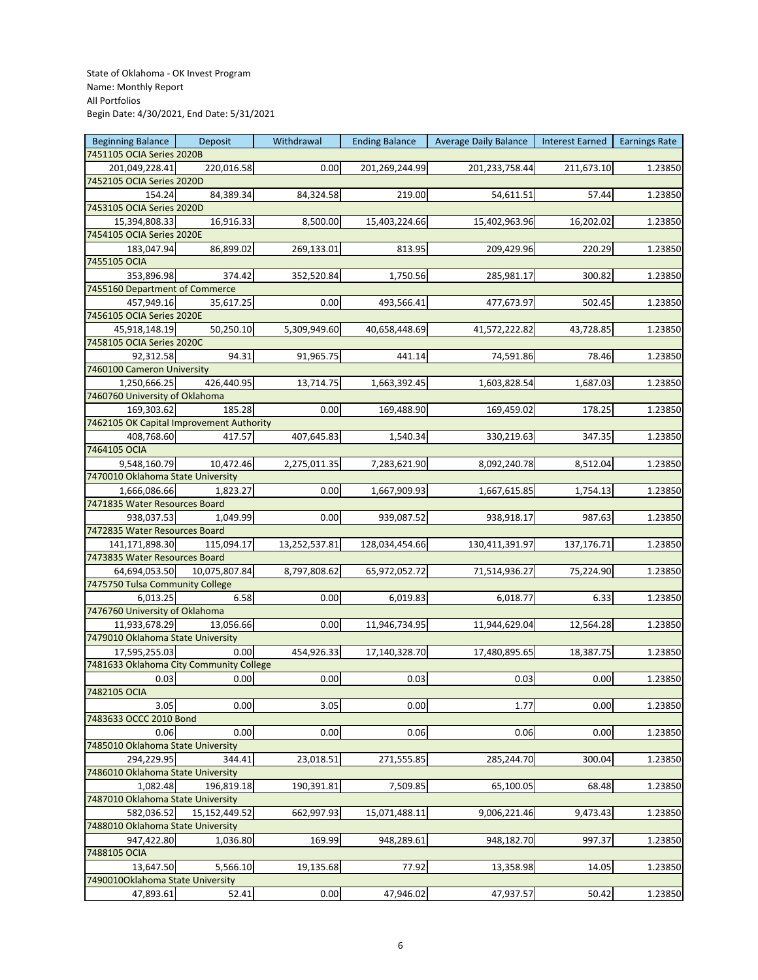| <b>Beginning Balance</b>                 | Deposit       | Withdrawal    | <b>Ending Balance</b> | <b>Average Daily Balance</b> | Interest Earned | <b>Earnings Rate</b> |
|------------------------------------------|---------------|---------------|-----------------------|------------------------------|-----------------|----------------------|
| 7451105 OCIA Series 2020B                |               |               |                       |                              |                 |                      |
| 201,049,228.41                           | 220,016.58    | 0.00          | 201,269,244.99        | 201,233,758.44               | 211,673.10      | 1.23850              |
| 7452105 OCIA Series 2020D                |               |               |                       |                              |                 |                      |
| 154.24                                   | 84,389.34     | 84,324.58     | 219.00                | 54,611.51                    | 57.44           | 1.23850              |
| 7453105 OCIA Series 2020D                |               |               |                       |                              |                 |                      |
| 15,394,808.33                            | 16,916.33     | 8,500.00      | 15,403,224.66         | 15,402,963.96                | 16,202.02       |                      |
|                                          |               |               |                       |                              |                 | 1.23850              |
| 7454105 OCIA Series 2020E                |               |               |                       |                              |                 |                      |
| 183,047.94                               | 86,899.02     | 269,133.01    | 813.95                | 209,429.96                   | 220.29          | 1.23850              |
| 7455105 OCIA                             |               |               |                       |                              |                 |                      |
| 353,896.98                               | 374.42        | 352,520.84    | 1,750.56              | 285,981.17                   | 300.82          | 1.23850              |
| 7455160 Department of Commerce           |               |               |                       |                              |                 |                      |
| 457,949.16                               | 35,617.25     | 0.00          | 493,566.41            | 477,673.97                   | 502.45          | 1.23850              |
| 7456105 OCIA Series 2020E                |               |               |                       |                              |                 |                      |
| 45,918,148.19                            | 50,250.10     | 5,309,949.60  | 40,658,448.69         | 41,572,222.82                | 43,728.85       | 1.23850              |
| 7458105 OCIA Series 2020C                |               |               |                       |                              |                 |                      |
| 92,312.58                                | 94.31         | 91,965.75     | 441.14                | 74,591.86                    | 78.46           | 1.23850              |
| 7460100 Cameron University               |               |               |                       |                              |                 |                      |
|                                          | 426,440.95    |               |                       |                              |                 |                      |
| 1,250,666.25                             |               | 13,714.75     | 1,663,392.45          | 1,603,828.54                 | 1,687.03        | 1.23850              |
| 7460760 University of Oklahoma           |               |               |                       |                              |                 |                      |
| 169,303.62                               | 185.28        | 0.00          | 169,488.90            | 169,459.02                   | 178.25          | 1.23850              |
| 7462105 OK Capital Improvement Authority |               |               |                       |                              |                 |                      |
| 408,768.60                               | 417.57        | 407,645.83    | 1,540.34              | 330,219.63                   | 347.35          | 1.23850              |
| 7464105 OCIA                             |               |               |                       |                              |                 |                      |
| 9,548,160.79                             | 10,472.46     | 2,275,011.35  | 7,283,621.90          | 8,092,240.78                 | 8,512.04        | 1.23850              |
| 7470010 Oklahoma State University        |               |               |                       |                              |                 |                      |
| 1,666,086.66                             | 1,823.27      | 0.00          | 1,667,909.93          | 1,667,615.85                 | 1,754.13        | 1.23850              |
| 7471835 Water Resources Board            |               |               |                       |                              |                 |                      |
| 938,037.53                               | 1,049.99      | 0.00          | 939,087.52            | 938,918.17                   | 987.63          | 1.23850              |
| 7472835 Water Resources Board            |               |               |                       |                              |                 |                      |
|                                          |               |               |                       |                              |                 |                      |
| 141,171,898.30                           | 115,094.17    | 13,252,537.81 | 128,034,454.66        | 130,411,391.97               | 137,176.71      | 1.23850              |
| 7473835 Water Resources Board            |               |               |                       |                              |                 |                      |
| 64,694,053.50                            | 10,075,807.84 | 8,797,808.62  | 65,972,052.72         | 71,514,936.27                | 75,224.90       | 1.23850              |
| 7475750 Tulsa Community College          |               |               |                       |                              |                 |                      |
| 6,013.25                                 | 6.58          | 0.00          | 6,019.83              | 6,018.77                     | 6.33            | 1.23850              |
| 7476760 University of Oklahoma           |               |               |                       |                              |                 |                      |
| 11,933,678.29                            | 13,056.66     | 0.00          | 11,946,734.95         | 11,944,629.04                | 12,564.28       | 1.23850              |
| 7479010 Oklahoma State University        |               |               |                       |                              |                 |                      |
| 17,595,255.03                            | 0.00          | 454,926.33    | 17,140,328.70         | 17,480,895.65                | 18,387.75       | 1.23850              |
| 7481633 Oklahoma City Community College  |               |               |                       |                              |                 |                      |
| 0.03                                     | 0.00          | 0.00          | 0.03                  | 0.03                         | 0.00            | 1.23850              |
| 7482105 OCIA                             |               |               |                       |                              |                 |                      |
|                                          |               |               |                       |                              |                 |                      |
| 3.05                                     | 0.00          | 3.05          | 0.00                  | 1.77                         | 0.00            | 1.23850              |
| 7483633 OCCC 2010 Bond                   |               |               |                       |                              |                 |                      |
| 0.06                                     | 0.00          | 0.00          | 0.06                  | 0.06                         | 0.00            | 1.23850              |
| 7485010 Oklahoma State University        |               |               |                       |                              |                 |                      |
| 294,229.95                               | 344.41        | 23,018.51     | 271,555.85            | 285,244.70                   | 300.04          | 1.23850              |
| 7486010 Oklahoma State University        |               |               |                       |                              |                 |                      |
| 1,082.48                                 | 196,819.18    | 190,391.81    | 7,509.85              | 65,100.05                    | 68.48           | 1.23850              |
| 7487010 Oklahoma State University        |               |               |                       |                              |                 |                      |
| 582,036.52                               | 15,152,449.52 | 662,997.93    | 15,071,488.11         | 9,006,221.46                 | 9,473.43        | 1.23850              |
| 7488010 Oklahoma State University        |               |               |                       |                              |                 |                      |
| 947,422.80                               | 1,036.80      | 169.99        | 948,289.61            | 948,182.70                   | 997.37          | 1.23850              |
| 7488105 OCIA                             |               |               |                       |                              |                 |                      |
|                                          |               |               |                       |                              |                 |                      |
| 13,647.50                                | 5,566.10      | 19,135.68     | 77.92                 | 13,358.98                    | 14.05           | 1.23850              |
| 7490010Oklahoma State University         |               |               |                       |                              |                 |                      |
| 47,893.61                                | 52.41         | 0.00          | 47,946.02             | 47,937.57                    | 50.42           | 1.23850              |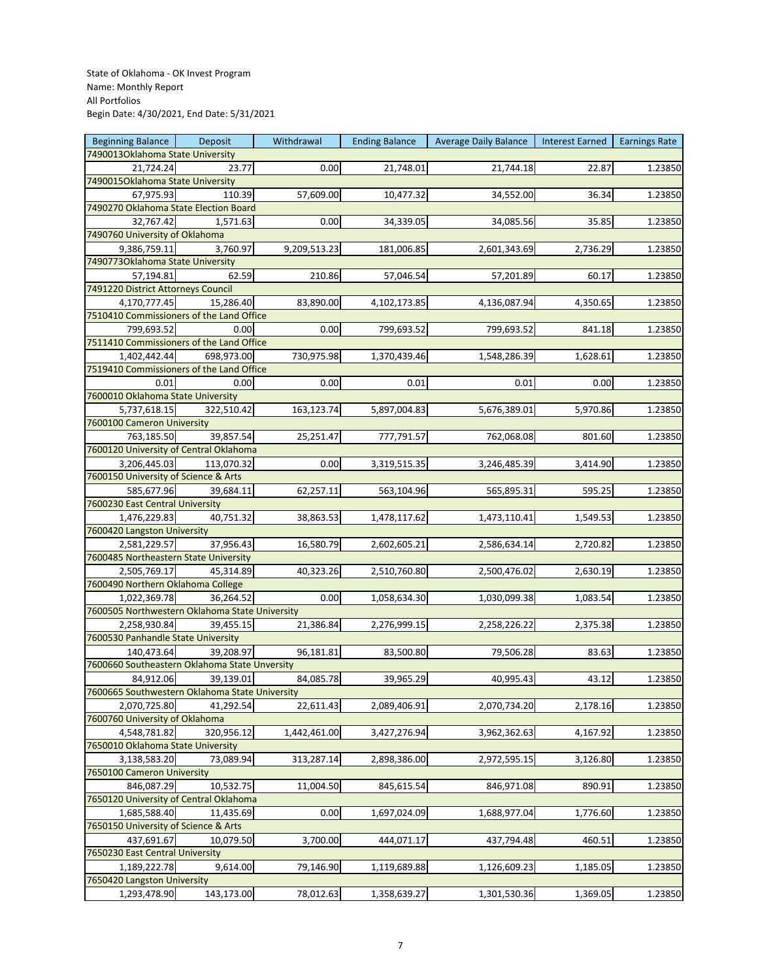| <b>Beginning Balance</b>                       | Deposit    | Withdrawal   | <b>Ending Balance</b> | Average Daily Balance | Interest Earned | <b>Earnings Rate</b> |
|------------------------------------------------|------------|--------------|-----------------------|-----------------------|-----------------|----------------------|
| 7490013Oklahoma State University               |            |              |                       |                       |                 |                      |
| 21,724.24                                      | 23.77      | 0.00         | 21,748.01             | 21,744.18             | 22.87           | 1.23850              |
| 7490015Oklahoma State University               |            |              |                       |                       |                 |                      |
| 67,975.93                                      | 110.39     | 57,609.00    | 10,477.32             | 34,552.00             | 36.34           | 1.23850              |
| 7490270 Oklahoma State Election Board          |            |              |                       |                       |                 |                      |
| 32,767.42                                      | 1,571.63   | 0.00         | 34,339.05             | 34,085.56             | 35.85           | 1.23850              |
| 7490760 University of Oklahoma                 |            |              |                       |                       |                 |                      |
| 9,386,759.11                                   | 3,760.97   | 9,209,513.23 | 181,006.85            | 2,601,343.69          | 2,736.29        | 1.23850              |
| 74907730klahoma State University               |            |              |                       |                       |                 |                      |
| 57,194.81                                      | 62.59      | 210.86       |                       |                       | 60.17           |                      |
| 7491220 District Attorneys Council             |            |              | 57,046.54             | 57,201.89             |                 | 1.23850              |
|                                                |            |              |                       |                       |                 |                      |
| 4,170,777.45                                   | 15,286.40  | 83,890.00    | 4,102,173.85          | 4,136,087.94          | 4,350.65        | 1.23850              |
| 7510410 Commissioners of the Land Office       |            |              |                       |                       |                 |                      |
| 799,693.52                                     | 0.00       | 0.00         | 799,693.52            | 799,693.52            | 841.18          | 1.23850              |
| 7511410 Commissioners of the Land Office       |            |              |                       |                       |                 |                      |
| 1,402,442.44                                   | 698,973.00 | 730,975.98   | 1,370,439.46          | 1,548,286.39          | 1,628.61        | 1.23850              |
| 7519410 Commissioners of the Land Office       |            |              |                       |                       |                 |                      |
| 0.01                                           | 0.00       | 0.00         | 0.01                  | 0.01                  | 0.00            | 1.23850              |
| 7600010 Oklahoma State University              |            |              |                       |                       |                 |                      |
| 5,737,618.15                                   | 322,510.42 | 163,123.74   | 5,897,004.83          | 5,676,389.01          | 5,970.86        | 1.23850              |
| 7600100 Cameron University                     |            |              |                       |                       |                 |                      |
| 763,185.50                                     | 39,857.54  | 25,251.47    | 777,791.57            | 762,068.08            | 801.60          | 1.23850              |
| 7600120 University of Central Oklahoma         |            |              |                       |                       |                 |                      |
| 3,206,445.03                                   | 113,070.32 | 0.00         | 3,319,515.35          | 3,246,485.39          | 3,414.90        | 1.23850              |
| 7600150 University of Science & Arts           |            |              |                       |                       |                 |                      |
| 585,677.96                                     | 39,684.11  | 62,257.11    | 563,104.96            | 565,895.31            | 595.25          | 1.23850              |
| 7600230 East Central University                |            |              |                       |                       |                 |                      |
| 1,476,229.83                                   | 40,751.32  | 38,863.53    | 1,478,117.62          | 1,473,110.41          | 1,549.53        | 1.23850              |
|                                                |            |              |                       |                       |                 |                      |
| 7600420 Langston University                    |            |              |                       |                       |                 |                      |
| 2,581,229.57                                   | 37,956.43  | 16,580.79    | 2,602,605.21          | 2,586,634.14          | 2,720.82        | 1.23850              |
| 7600485 Northeastern State University          |            |              |                       |                       |                 |                      |
| 2,505,769.17                                   | 45,314.89  | 40,323.26    | 2,510,760.80          | 2,500,476.02          | 2,630.19        | 1.23850              |
| 7600490 Northern Oklahoma College              |            |              |                       |                       |                 |                      |
| 1,022,369.78                                   | 36,264.52  | 0.00         | 1,058,634.30          | 1,030,099.38          | 1,083.54        | 1.23850              |
| 7600505 Northwestern Oklahoma State University |            |              |                       |                       |                 |                      |
| 2,258,930.84                                   | 39,455.15  | 21,386.84    | 2,276,999.15          | 2,258,226.22          | 2,375.38        | 1.23850              |
| 7600530 Panhandle State University             |            |              |                       |                       |                 |                      |
| 140,473.64                                     | 39,208.97  | 96,181.81    | 83,500.80             | 79,506.28             | 83.63           | 1.23850              |
| 7600660 Southeastern Oklahoma State Unversity  |            |              |                       |                       |                 |                      |
| 84,912.06                                      | 39,139.01  | 84,085.78    | 39,965.29             | 40,995.43             | 43.12           | 1.23850              |
| 7600665 Southwestern Oklahoma State University |            |              |                       |                       |                 |                      |
| 2,070,725.80                                   | 41,292.54  | 22,611.43    | 2,089,406.91          | 2,070,734.20          | 2,178.16        | 1.23850              |
| 7600760 University of Oklahoma                 |            |              |                       |                       |                 |                      |
| 4,548,781.82                                   | 320,956.12 | 1,442,461.00 | 3,427,276.94          | 3,962,362.63          | 4,167.92        | 1.23850              |
| 7650010 Oklahoma State University              |            |              |                       |                       |                 |                      |
| 3,138,583.20                                   | 73,089.94  | 313,287.14   | 2,898,386.00          | 2,972,595.15          | 3,126.80        | 1.23850              |
| 7650100 Cameron University                     |            |              |                       |                       |                 |                      |
|                                                |            |              |                       |                       | 890.91          |                      |
| 846,087.29                                     | 10,532.75  | 11,004.50    | 845,615.54            | 846,971.08            |                 | 1.23850              |
| 7650120 University of Central Oklahoma         |            |              |                       |                       |                 |                      |
| 1,685,588.40                                   | 11,435.69  | 0.00         | 1,697,024.09          | 1,688,977.04          | 1,776.60        | 1.23850              |
| 7650150 University of Science & Arts           |            |              |                       |                       |                 |                      |
| 437,691.67                                     | 10,079.50  | 3,700.00     | 444,071.17            | 437,794.48            | 460.51          | 1.23850              |
| 7650230 East Central University                |            |              |                       |                       |                 |                      |
| 1,189,222.78                                   | 9,614.00   | 79,146.90    | 1,119,689.88          | 1,126,609.23          | 1,185.05        | 1.23850              |
| 7650420 Langston University                    |            |              |                       |                       |                 |                      |
| 1,293,478.90                                   | 143,173.00 | 78,012.63    | 1,358,639.27          | 1,301,530.36          | 1,369.05        | 1.23850              |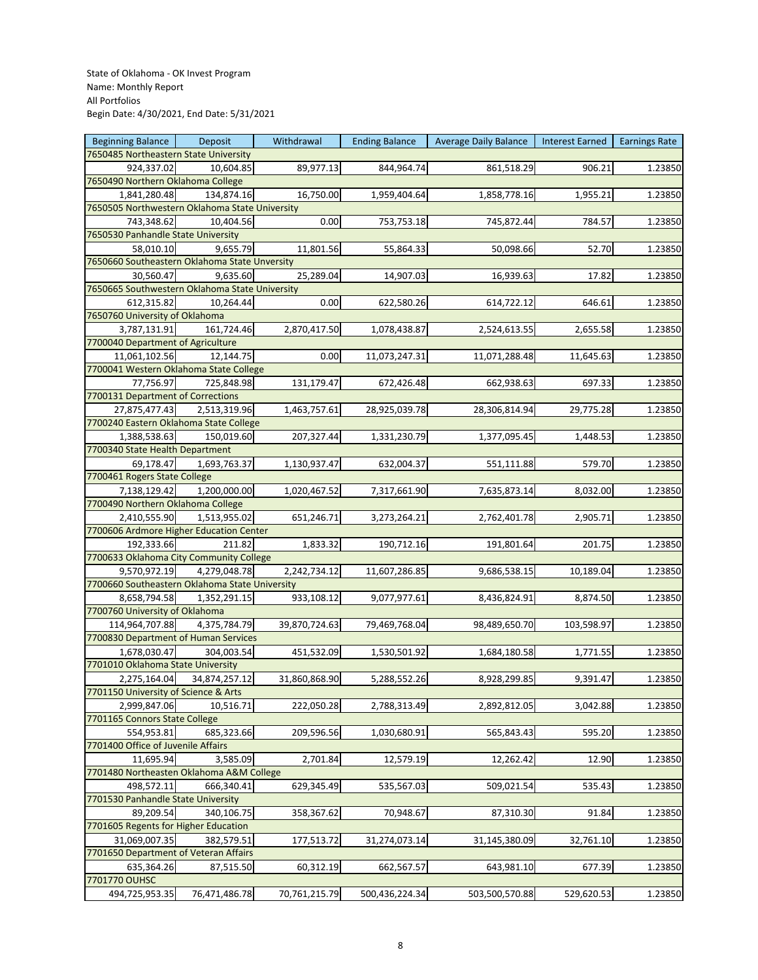| <b>Beginning Balance</b>                       | Deposit       | Withdrawal    | <b>Ending Balance</b> | <b>Average Daily Balance</b> | Interest Earned | <b>Earnings Rate</b> |
|------------------------------------------------|---------------|---------------|-----------------------|------------------------------|-----------------|----------------------|
| 7650485 Northeastern State University          |               |               |                       |                              |                 |                      |
| 924,337.02                                     | 10,604.85     | 89,977.13     | 844,964.74            | 861,518.29                   | 906.21          | 1.23850              |
| 7650490 Northern Oklahoma College              |               |               |                       |                              |                 |                      |
| 1,841,280.48                                   | 134,874.16    | 16,750.00     | 1,959,404.64          | 1,858,778.16                 | 1,955.21        | 1.23850              |
| 7650505 Northwestern Oklahoma State University |               |               |                       |                              |                 |                      |
| 743,348.62                                     | 10,404.56     | 0.00          | 753,753.18            | 745,872.44                   | 784.57          | 1.23850              |
| 7650530 Panhandle State University             |               |               |                       |                              |                 |                      |
| 58,010.10                                      | 9,655.79      | 11,801.56     | 55,864.33             | 50,098.66                    | 52.70           | 1.23850              |
| 7650660 Southeastern Oklahoma State Unversity  |               |               |                       |                              |                 |                      |
| 30,560.47                                      | 9,635.60      | 25,289.04     | 14,907.03             | 16,939.63                    | 17.82           | 1.23850              |
| 7650665 Southwestern Oklahoma State University |               |               |                       |                              |                 |                      |
|                                                | 10,264.44     | 0.00          |                       |                              |                 |                      |
| 612,315.82<br>7650760 University of Oklahoma   |               |               | 622,580.26            | 614,722.12                   | 646.61          | 1.23850              |
|                                                |               |               |                       |                              |                 |                      |
| 3,787,131.91                                   | 161,724.46    | 2,870,417.50  | 1,078,438.87          | 2,524,613.55                 | 2,655.58        | 1.23850              |
| 7700040 Department of Agriculture              |               |               |                       |                              |                 |                      |
| 11,061,102.56                                  | 12,144.75     | 0.00          | 11,073,247.31         | 11,071,288.48                | 11,645.63       | 1.23850              |
| 7700041 Western Oklahoma State College         |               |               |                       |                              |                 |                      |
| 77,756.97                                      | 725,848.98    | 131,179.47    | 672,426.48            | 662,938.63                   | 697.33          | 1.23850              |
| 7700131 Department of Corrections              |               |               |                       |                              |                 |                      |
| 27,875,477.43                                  | 2,513,319.96  | 1,463,757.61  | 28,925,039.78         | 28,306,814.94                | 29,775.28       | 1.23850              |
| 7700240 Eastern Oklahoma State College         |               |               |                       |                              |                 |                      |
| 1,388,538.63                                   | 150,019.60    | 207,327.44    | 1,331,230.79          | 1,377,095.45                 | 1,448.53        | 1.23850              |
| 7700340 State Health Department                |               |               |                       |                              |                 |                      |
| 69,178.47                                      | 1,693,763.37  | 1,130,937.47  | 632,004.37            | 551,111.88                   | 579.70          | 1.23850              |
| 7700461 Rogers State College                   |               |               |                       |                              |                 |                      |
| 7,138,129.42                                   | 1,200,000.00  | 1,020,467.52  | 7,317,661.90          | 7,635,873.14                 | 8,032.00        | 1.23850              |
| 7700490 Northern Oklahoma College              |               |               |                       |                              |                 |                      |
| 2,410,555.90                                   | 1,513,955.02  | 651,246.71    | 3,273,264.21          | 2,762,401.78                 | 2,905.71        | 1.23850              |
| 7700606 Ardmore Higher Education Center        |               |               |                       |                              |                 |                      |
| 192,333.66                                     | 211.82        | 1,833.32      | 190,712.16            | 191,801.64                   | 201.75          | 1.23850              |
| 7700633 Oklahoma City Community College        |               |               |                       |                              |                 |                      |
| 9,570,972.19                                   | 4,279,048.78  | 2,242,734.12  | 11,607,286.85         | 9,686,538.15                 | 10,189.04       | 1.23850              |
| 7700660 Southeastern Oklahoma State University |               |               |                       |                              |                 |                      |
| 8,658,794.58                                   | 1,352,291.15  | 933,108.12    | 9,077,977.61          | 8,436,824.91                 | 8,874.50        | 1.23850              |
| 7700760 University of Oklahoma                 |               |               |                       |                              |                 |                      |
|                                                |               |               |                       |                              |                 |                      |
| 114,964,707.88                                 | 4,375,784.79  | 39,870,724.63 | 79,469,768.04         | 98,489,650.70                | 103,598.97      | 1.23850              |
| 7700830 Department of Human Services           |               |               |                       |                              |                 |                      |
| 1,678,030.47                                   | 304,003.54    | 451,532.09    | 1,530,501.92          | 1,684,180.58                 | 1,771.55        | 1.23850              |
| 7701010 Oklahoma State University              |               |               |                       |                              |                 |                      |
| 2,275,164.04                                   | 34,874,257.12 | 31,860,868.90 | 5,288,552.26          | 8,928,299.85                 | 9,391.47        | 1.23850              |
| 7701150 University of Science & Arts           |               |               |                       |                              |                 |                      |
| 2,999,847.06                                   | 10,516.71     | 222,050.28    | 2,788,313.49          | 2,892,812.05                 | 3,042.88        | 1.23850              |
| 7701165 Connors State College                  |               |               |                       |                              |                 |                      |
| 554,953.81                                     | 685,323.66    | 209,596.56    | 1,030,680.91          | 565,843.43                   | 595.20          | 1.23850              |
| 7701400 Office of Juvenile Affairs             |               |               |                       |                              |                 |                      |
| 11,695.94                                      | 3,585.09      | 2,701.84      | 12,579.19             | 12,262.42                    | 12.90           | 1.23850              |
| 7701480 Northeasten Oklahoma A&M College       |               |               |                       |                              |                 |                      |
| 498,572.11                                     | 666,340.41    | 629,345.49    | 535,567.03            | 509,021.54                   | 535.43          | 1.23850              |
| 7701530 Panhandle State University             |               |               |                       |                              |                 |                      |
| 89,209.54                                      | 340,106.75    | 358,367.62    | 70,948.67             | 87,310.30                    | 91.84           | 1.23850              |
| 7701605 Regents for Higher Education           |               |               |                       |                              |                 |                      |
| 31,069,007.35                                  | 382,579.51    | 177,513.72    | 31,274,073.14         | 31,145,380.09                | 32,761.10       | 1.23850              |
| 7701650 Department of Veteran Affairs          |               |               |                       |                              |                 |                      |
| 635,364.26                                     | 87,515.50     | 60,312.19     | 662,567.57            | 643,981.10                   | 677.39          | 1.23850              |
| 7701770 OUHSC                                  |               |               |                       |                              |                 |                      |
|                                                |               |               |                       |                              |                 |                      |
| 494,725,953.35                                 | 76,471,486.78 | 70,761,215.79 | 500,436,224.34        | 503,500,570.88               | 529,620.53      | 1.23850              |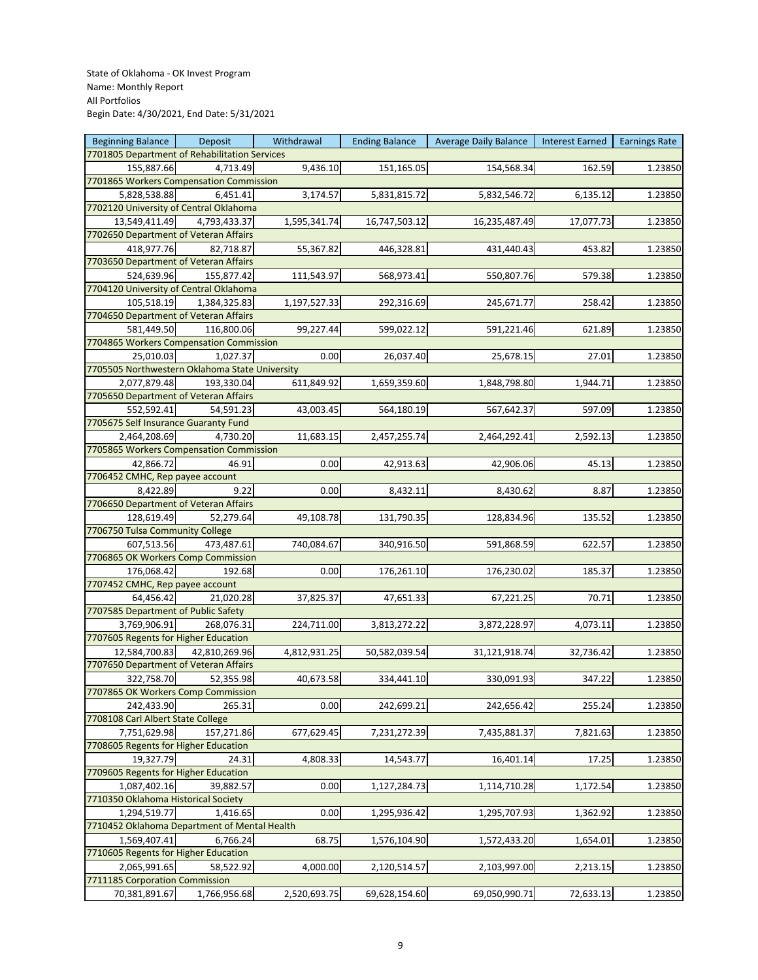| <b>Beginning Balance</b>                               | Deposit       | Withdrawal   | <b>Ending Balance</b> | <b>Average Daily Balance</b> | Interest Earned | <b>Earnings Rate</b> |
|--------------------------------------------------------|---------------|--------------|-----------------------|------------------------------|-----------------|----------------------|
| 7701805 Department of Rehabilitation Services          |               |              |                       |                              |                 |                      |
| 155,887.66                                             | 4,713.49      | 9,436.10     | 151,165.05            | 154,568.34                   | 162.59          | 1.23850              |
| 7701865 Workers Compensation Commission                |               |              |                       |                              |                 |                      |
| 5,828,538.88                                           | 6,451.41      | 3,174.57     | 5,831,815.72          | 5,832,546.72                 | 6,135.12        | 1.23850              |
| 7702120 University of Central Oklahoma                 |               |              |                       |                              |                 |                      |
| 13,549,411.49                                          | 4,793,433.37  | 1,595,341.74 | 16,747,503.12         | 16,235,487.49                | 17,077.73       | 1.23850              |
| 7702650 Department of Veteran Affairs                  |               |              |                       |                              |                 |                      |
| 418,977.76                                             | 82,718.87     | 55,367.82    | 446,328.81            | 431,440.43                   | 453.82          | 1.23850              |
| 7703650 Department of Veteran Affairs                  |               |              |                       |                              |                 |                      |
| 524,639.96                                             | 155,877.42    | 111,543.97   | 568,973.41            | 550,807.76                   | 579.38          | 1.23850              |
| 7704120 University of Central Oklahoma                 |               |              |                       |                              |                 |                      |
| 105,518.19                                             | 1,384,325.83  | 1,197,527.33 | 292,316.69            | 245,671.77                   | 258.42          | 1.23850              |
| 7704650 Department of Veteran Affairs                  |               |              |                       |                              |                 |                      |
| 581,449.50                                             | 116,800.06    |              |                       |                              |                 |                      |
|                                                        |               | 99,227.44    | 599,022.12            | 591,221.46                   | 621.89          | 1.23850              |
| 7704865 Workers Compensation Commission                |               |              |                       |                              |                 |                      |
| 25,010.03                                              | 1,027.37      | 0.00         | 26,037.40             | 25,678.15                    | 27.01           | 1.23850              |
| 7705505 Northwestern Oklahoma State University         |               |              |                       |                              |                 |                      |
| 2,077,879.48                                           | 193,330.04    | 611,849.92   | 1,659,359.60          | 1,848,798.80                 | 1,944.71        | 1.23850              |
| 7705650 Department of Veteran Affairs                  |               |              |                       |                              |                 |                      |
| 552,592.41                                             | 54,591.23     | 43,003.45    | 564,180.19            | 567,642.37                   | 597.09          | 1.23850              |
| 7705675 Self Insurance Guaranty Fund                   |               |              |                       |                              |                 |                      |
| 2,464,208.69                                           | 4,730.20      | 11,683.15    | 2,457,255.74          | 2,464,292.41                 | 2,592.13        | 1.23850              |
| 7705865 Workers Compensation Commission                |               |              |                       |                              |                 |                      |
| 42,866.72                                              | 46.91         | 0.00         | 42,913.63             | 42,906.06                    | 45.13           | 1.23850              |
| 7706452 CMHC, Rep payee account                        |               |              |                       |                              |                 |                      |
| 8,422.89                                               | 9.22          | 0.00         | 8,432.11              | 8,430.62                     | 8.87            | 1.23850              |
| 7706650 Department of Veteran Affairs                  |               |              |                       |                              |                 |                      |
| 128,619.49                                             | 52,279.64     | 49,108.78    | 131,790.35            | 128,834.96                   | 135.52          | 1.23850              |
| 7706750 Tulsa Community College                        |               |              |                       |                              |                 |                      |
| 607,513.56                                             | 473,487.61    | 740,084.67   | 340,916.50            | 591,868.59                   | 622.57          | 1.23850              |
| 7706865 OK Workers Comp Commission                     |               |              |                       |                              |                 |                      |
| 176,068.42                                             | 192.68        | 0.00         | 176,261.10            | 176,230.02                   | 185.37          | 1.23850              |
| 7707452 CMHC, Rep payee account                        |               |              |                       |                              |                 |                      |
| 64,456.42                                              | 21,020.28     | 37,825.37    | 47,651.33             | 67,221.25                    | 70.71           | 1.23850              |
| 7707585 Department of Public Safety                    |               |              |                       |                              |                 |                      |
| 3,769,906.91                                           | 268,076.31    | 224,711.00   | 3,813,272.22          | 3,872,228.97                 | 4,073.11        | 1.23850              |
| 7707605 Regents for Higher Education                   |               |              |                       |                              |                 |                      |
|                                                        |               | 4,812,931.25 | 50,582,039.54         |                              |                 |                      |
| 12,584,700.83<br>7707650 Department of Veteran Affairs | 42,810,269.96 |              |                       | 31,121,918.74                | 32,736.42       | 1.23850              |
|                                                        |               |              |                       |                              |                 |                      |
| 322,758.70                                             | 52,355.98     | 40,673.58    | 334,441.10            | 330,091.93                   | 347.22          | 1.23850              |
| 7707865 OK Workers Comp Commission                     |               |              |                       |                              |                 |                      |
| 242,433.90                                             | 265.31        | 0.00         | 242,699.21            | 242,656.42                   | 255.24          | 1.23850              |
| 7708108 Carl Albert State College                      |               |              |                       |                              |                 |                      |
| 7,751,629.98                                           | 157,271.86    | 677,629.45   | 7,231,272.39          | 7,435,881.37                 | 7,821.63        | 1.23850              |
| 7708605 Regents for Higher Education                   |               |              |                       |                              |                 |                      |
| 19,327.79                                              | 24.31         | 4,808.33     | 14,543.77             | 16,401.14                    | 17.25           | 1.23850              |
| 7709605 Regents for Higher Education                   |               |              |                       |                              |                 |                      |
| 1,087,402.16                                           | 39,882.57     | 0.00         | 1,127,284.73          | 1,114,710.28                 | 1,172.54        | 1.23850              |
| 7710350 Oklahoma Historical Society                    |               |              |                       |                              |                 |                      |
| 1,294,519.77                                           | 1,416.65      | 0.00         | 1,295,936.42          | 1,295,707.93                 | 1,362.92        | 1.23850              |
| 7710452 Oklahoma Department of Mental Health           |               |              |                       |                              |                 |                      |
| 1,569,407.41                                           | 6,766.24      | 68.75        | 1,576,104.90          | 1,572,433.20                 | 1,654.01        | 1.23850              |
| 7710605 Regents for Higher Education                   |               |              |                       |                              |                 |                      |
| 2,065,991.65                                           | 58,522.92     | 4,000.00     | 2,120,514.57          | 2,103,997.00                 | 2,213.15        | 1.23850              |
| 7711185 Corporation Commission                         |               |              |                       |                              |                 |                      |
| 70,381,891.67                                          | 1,766,956.68  | 2,520,693.75 | 69,628,154.60         | 69,050,990.71                | 72,633.13       | 1.23850              |
|                                                        |               |              |                       |                              |                 |                      |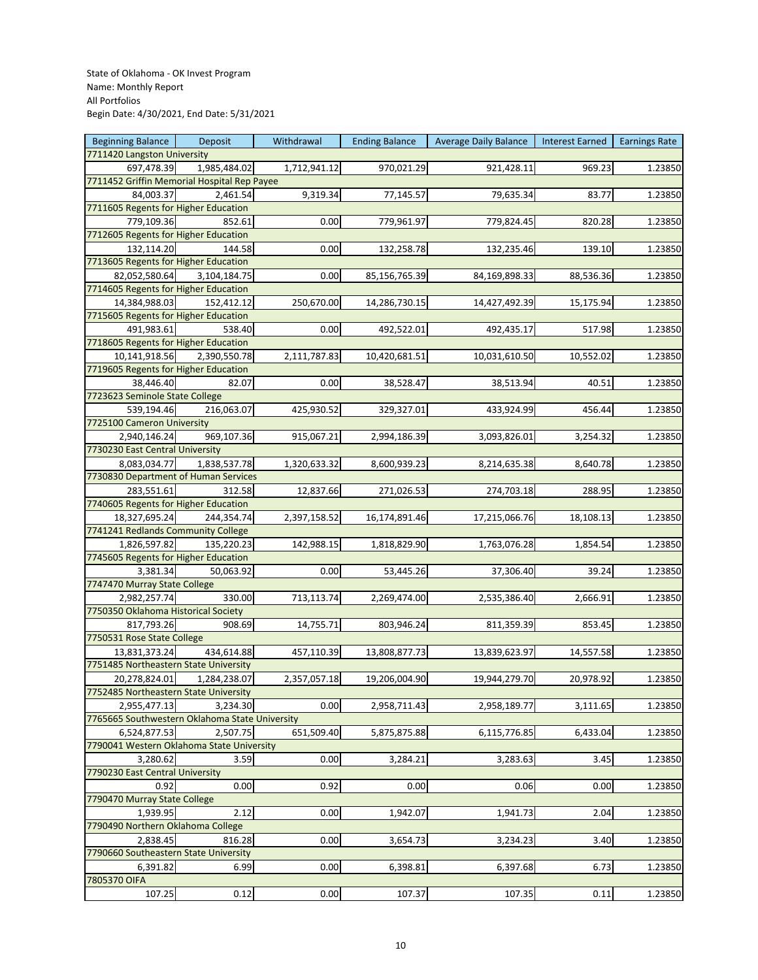| <b>Beginning Balance</b>                       | <b>Deposit</b> | Withdrawal   | <b>Ending Balance</b> | <b>Average Daily Balance</b> | Interest Earned   Earnings Rate |         |
|------------------------------------------------|----------------|--------------|-----------------------|------------------------------|---------------------------------|---------|
| 7711420 Langston University                    |                |              |                       |                              |                                 |         |
| 697,478.39                                     | 1,985,484.02   | 1,712,941.12 | 970,021.29            | 921,428.11                   | 969.23                          | 1.23850 |
| 7711452 Griffin Memorial Hospital Rep Payee    |                |              |                       |                              |                                 |         |
| 84,003.37                                      | 2,461.54       | 9,319.34     | 77,145.57             | 79,635.34                    | 83.77                           | 1.23850 |
| 7711605 Regents for Higher Education           |                |              |                       |                              |                                 |         |
| 779,109.36                                     | 852.61         | 0.00         | 779,961.97            | 779,824.45                   | 820.28                          | 1.23850 |
| 7712605 Regents for Higher Education           |                |              |                       |                              |                                 |         |
| 132,114.20                                     | 144.58         | 0.00         | 132,258.78            | 132,235.46                   | 139.10                          | 1.23850 |
| 7713605 Regents for Higher Education           |                |              |                       |                              |                                 |         |
| 82,052,580.64                                  | 3,104,184.75   | 0.00         | 85,156,765.39         | 84,169,898.33                | 88,536.36                       | 1.23850 |
| 7714605 Regents for Higher Education           |                |              |                       |                              |                                 |         |
|                                                |                |              |                       |                              |                                 |         |
| 14,384,988.03                                  | 152,412.12     | 250,670.00   | 14,286,730.15         | 14,427,492.39                | 15,175.94                       | 1.23850 |
| 7715605 Regents for Higher Education           |                |              |                       |                              |                                 |         |
| 491,983.61                                     | 538.40         | 0.00         | 492,522.01            | 492,435.17                   | 517.98                          | 1.23850 |
| 7718605 Regents for Higher Education           |                |              |                       |                              |                                 |         |
| 10,141,918.56                                  | 2,390,550.78   | 2,111,787.83 | 10,420,681.51         | 10,031,610.50                | 10,552.02                       | 1.23850 |
| 7719605 Regents for Higher Education           |                |              |                       |                              |                                 |         |
| 38,446.40                                      | 82.07          | 0.00         | 38,528.47             | 38,513.94                    | 40.51                           | 1.23850 |
| 7723623 Seminole State College                 |                |              |                       |                              |                                 |         |
| 539,194.46                                     | 216,063.07     | 425,930.52   | 329,327.01            | 433,924.99                   | 456.44                          | 1.23850 |
| 7725100 Cameron University                     |                |              |                       |                              |                                 |         |
| 2,940,146.24                                   | 969,107.36     | 915,067.21   | 2,994,186.39          | 3,093,826.01                 | 3,254.32                        | 1.23850 |
| 7730230 East Central University                |                |              |                       |                              |                                 |         |
| 8,083,034.77                                   | 1,838,537.78   | 1,320,633.32 | 8,600,939.23          | 8,214,635.38                 | 8,640.78                        | 1.23850 |
| 7730830 Department of Human Services           |                |              |                       |                              |                                 |         |
| 283,551.61                                     | 312.58         | 12,837.66    | 271,026.53            | 274,703.18                   | 288.95                          | 1.23850 |
| 7740605 Regents for Higher Education           |                |              |                       |                              |                                 |         |
|                                                |                |              |                       |                              |                                 |         |
| 18,327,695.24                                  | 244,354.74     | 2,397,158.52 | 16,174,891.46         | 17,215,066.76                | 18,108.13                       | 1.23850 |
| 7741241 Redlands Community College             |                |              |                       |                              |                                 |         |
| 1,826,597.82                                   | 135,220.23     | 142,988.15   | 1,818,829.90          | 1,763,076.28                 | 1,854.54                        | 1.23850 |
| 7745605 Regents for Higher Education           |                |              |                       |                              |                                 |         |
| 3,381.34                                       | 50,063.92      | 0.00         | 53,445.26             | 37,306.40                    | 39.24                           | 1.23850 |
| 7747470 Murray State College                   |                |              |                       |                              |                                 |         |
| 2,982,257.74                                   | 330.00         | 713,113.74   | 2,269,474.00          | 2,535,386.40                 | 2,666.91                        | 1.23850 |
| 7750350 Oklahoma Historical Society            |                |              |                       |                              |                                 |         |
| 817,793.26                                     | 908.69         | 14,755.71    | 803,946.24            | 811,359.39                   | 853.45                          | 1.23850 |
| 7750531 Rose State College                     |                |              |                       |                              |                                 |         |
| 13,831,373.24                                  | 434,614.88     | 457,110.39   | 13,808,877.73         | 13,839,623.97                | 14,557.58                       | 1.23850 |
| 7751485 Northeastern State University          |                |              |                       |                              |                                 |         |
| 20,278,824.01                                  | 1,284,238.07   | 2,357,057.18 | 19,206,004.90         | 19,944,279.70                | 20,978.92                       | 1.23850 |
| 7752485 Northeastern State University          |                |              |                       |                              |                                 |         |
| 2,955,477.13                                   | 3,234.30       | 0.00         | 2,958,711.43          | 2,958,189.77                 | 3,111.65                        | 1.23850 |
| 7765665 Southwestern Oklahoma State University |                |              |                       |                              |                                 |         |
| 6,524,877.53                                   | 2,507.75       | 651,509.40   | 5,875,875.88          | 6,115,776.85                 | 6,433.04                        | 1.23850 |
| 7790041 Western Oklahoma State University      |                |              |                       |                              |                                 |         |
|                                                |                |              |                       |                              |                                 |         |
| 3,280.62                                       | 3.59           | 0.00         | 3,284.21              | 3,283.63                     | 3.45                            | 1.23850 |
| 7790230 East Central University                |                |              |                       |                              |                                 |         |
| 0.92                                           | 0.00           | 0.92         | 0.00                  | 0.06                         | 0.00                            | 1.23850 |
| 7790470 Murray State College                   |                |              |                       |                              |                                 |         |
| 1,939.95                                       | 2.12           | 0.00         | 1,942.07              | 1,941.73                     | 2.04                            | 1.23850 |
| 7790490 Northern Oklahoma College              |                |              |                       |                              |                                 |         |
| 2,838.45                                       | 816.28         | 0.00         | 3,654.73              | 3,234.23                     | 3.40                            | 1.23850 |
| 7790660 Southeastern State University          |                |              |                       |                              |                                 |         |
| 6,391.82                                       | 6.99           | 0.00         | 6,398.81              | 6,397.68                     | 6.73                            | 1.23850 |
| 7805370 OIFA                                   |                |              |                       |                              |                                 |         |
| 107.25                                         | 0.12           | 0.00         | 107.37                | 107.35                       | 0.11                            | 1.23850 |